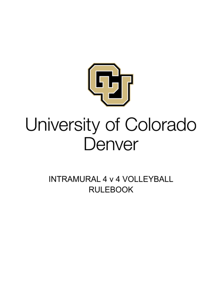

## University of Colorado Denver

**INTRAMURAL 4 v 4 VOLLEYBALL RULEBOOK**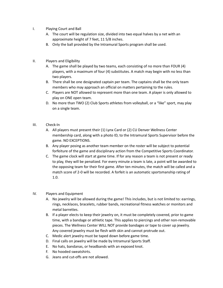- I. Playing Court and Ball
	- A. The court will be regulation size, divided into two equal halves by a net with an approximate height of 7 feet, 11 5/8 inches.
	- B. Only the ball provided by the Intramural Sports program shall be used.
- II. Players and Eligibility
	- A. The game shall be played by two teams, each consisting of no more than FOUR (4) players, with a maximum of four (4) substitutes. A match may begin with no less than two players.
	- B. There shall be one designated captain per team. The captains shall be the only team members who may approach an official on matters pertaining to the rules.
	- C. Players are NOT allowed to represent more than one team. A player is only allowed to play on ONE open team.
	- D. No more than TWO (2) Club Sports athletes from volleyball, or a "like" sport, may play on a single team.
- III. Check-In
	- A. All players must present their (1) Lynx Card or (2) CU Denver Wellness Center membership card, along with a photo ID, to the Intramural Sports Supervisor before the game. NO EXCEPTIONS.
	- B. Any player posing as another team member on the roster will be subject to potential forfeiture of the game and disciplinary action from the Competitive Sports Coordinator.
	- C. The game clock will start at game time. If for any reason a team is not present or ready to play, they will be penalized. For every minute a team is late, a point will be awarded to the opposing team for their first game. After ten minutes, the match will be called and a match score of 2-0 will be recorded. A forfeit is an automatic sportsmanship rating of 1.0.
- IV. Players and Equipment
	- A. No jewelry will be allowed during the game! This includes, but is not limited to: earrings, rings, necklaces, bracelets, rubber bands, recreational fitness watches or monitors and metal barrettes.
	- B. If a player elects to keep their jewelry on, it must be completely covered, prior to game time, with a bandage or athletic tape. This applies to piercings and other non-removable pieces. The Wellness Center WILL NOT provide bandages or tape to cover up jewelry. Any covered jewelry must be flesh with skin and cannot protrude out.
	- C. Medic alert jewelry must be taped down before game time.
	- D. Final calls on jewelry will be made by Intramural Sports Staff.
	- E. No hats, bandanas, or headbands with an exposed knot.
	- F. No hooded sweatshirts.
	- G. Jeans and cut-offs are not allowed.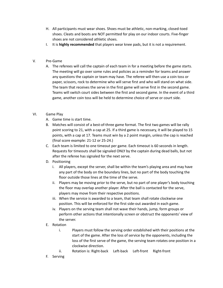- H. All participants must wear shoes. Shoes must be athletic, non-marking, closed-toed shoes. Cleats and boots are NOT permitted for play on our indoor courts. Five-finger shoes are not considered athletic shoes.
- I. It is **highly recommended** that players wear knee pads, but it is not a requirement.
- V. Pre-Game
	- A. The referees will call the captain of each team in for a meeting before the game starts. The meeting will go over some rules and policies as a reminder for teams and answer any questions the captain or team may have. The referee will then use a coin toss or paper, scissors, rock to determine who will serve first and who will stand on what side. The team that receives the serve in the first game will serve first in the second game. Teams will switch court sides between the first and second game. In the event of a third game, another coin toss will be held to determine choice of serve or court side.
- VI. Game Play
	- A. Game time is start time.
	- B. Matches will consist of a best-of-three game format. The first two games will be rally point scoring to 21, with a cap at 25. If a third game is necessary, it will be played to 15 points, with a cap at 17. Teams must win by a 2 point margin, unless the cap is reached (final score example: 21-12 or 25-24.)
	- C. Each team is limited to one timeout per game. Each timeout is 60 seconds in length. Requests for timeouts shall be signaled ONLY by the captain during dead balls, but not after the referee has signaled for the next serve.
	- D. Positioning
		- i. All players, except the server, shall be within the team's playing area and may have any part of the body on the boundary lines, but no part of the body touching the floor outside those lines at the time of the serve.
		- ii. Players may be moving prior to the serve, but no part of one player's body touching the floor may overlap another player. After the ball is contacted for the serve, players may move from their respective positions.
		- iii. When the service is awarded to a team, that team shall rotate clockwise one position. This will be enforced for the first side-out awarded in each game.
		- iv. Players on the serving team shall not wave their hands, jump, form groups or perform other actions that intentionally screen or obstruct the opponents' view of the server.
	- E. Rotation
		- i. Players must follow the serving order established with their positions at the start of the game. After the loss of service by the opponents, including the loss of the first serve of the game, the serving team rotates one position in a clockwise direction.
		- ii. Rotation is: Right-back Left-back Left-front Right-front
	- F. Serving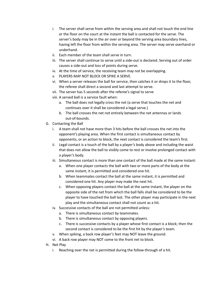- i. The server shall serve from within the serving area and shall not touch the end line or the floor on the court at the instant the ball is contacted for the serve. The server's body may be in the air over or beyond the serving area boundary lines, having left the floor from within the serving area. The server may serve overhand or underhand.
- ii. Each member of the team shall serve in turn.
- iii. The server shall continue to serve until a side-out is declared. Serving out of order causes a side-out and loss of points during serve.
- iv. At the time of service, the receiving team may not be overlapping.
- v. PLAYERS MAY NOT BLOCK OR SPIKE A SERVE.
- vi. When a server releases the ball for service, then catches it or drops it to the floor, the referee shall direct a second and last attempt to serve.
- vii. The server has 5 seconds after the referee's signal to serve
- viii. A served ball is a service fault when:
	- a. The ball does not legally cross the net (a serve that touches the net and continues over it shall be considered a legal serve.)
	- b. The ball crosses the net not entirely between the net antennas or lands out-of-bounds.
- G. Contacting the Ball
	- i. A team shall not have more than 3 hits before the ball crosses the net into the opponent's playing area. When the first contact is simultaneous contact by opponents, or an action to block, the next contact is considered the team's first.
	- ii. Legal contact is a touch of the ball by a player's body above and including the waist that does not allow the ball to visibly come to rest or involve prolonged contact with a player's body.
	- iii. Simultaneous contact is more than one contact of the ball made at the same instant:
		- a. When one player contacts the ball with two or more parts of the body at the same instant, it is permitted and considered one hit.
		- b. When teammates contact the ball at the same instant, it is permitted and considered one hit. Any player may make the next hit.
		- c. When opposing players contact the ball at the same instant, the player on the opposite side of the net from which the ball falls shall be considered to be the player to have touched the ball last. The other player may participate in the next play and the simultaneous contact shall not count as a hit.
	- iv. Successive contacts of the ball are not permitted unless:
		- a. There is simultaneous contact by teammates.
		- b. There is simultaneous contact by opposing players.
		- c. There is successive contacts by a player whose first contact is a block; then the second contact is considered to be the first hit by the player's team.
	- v. When spiking, a back row player's feet may NOT leave the ground.
	- vi. A back row player may NOT come to the front net to block.
- H. Net Play
	- i. Reaching over the net is permitted during the follow-through of a hit.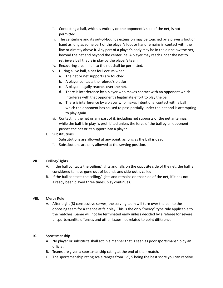- ii. Contacting a ball, which is entirely on the opponent's side of the net, is not permitted.
- iii. The centerline and its out-of-bounds extension may be touched by a player's foot or hand as long as some part of the player's foot or hand remains in contact with the line or directly above it. Any part of a player's body may be in the air below the net, beyond the net and beyond the centerline. A player may reach under the net to retrieve a ball that is in play by the player's team.
- iv. Recovering a ball hit into the net shall be permitted.
- v. During a live ball, a net foul occurs when:
	- a. The net or net supports are touched.
	- b. A player contacts the referee's platform.
	- c. A player illegally reaches over the net.
	- d. There is interference by a player who makes contact with an opponent which interferes with that opponent's legitimate effort to play the ball.
	- e. There is interference by a player who makes intentional contact with a ball which the opponent has caused to pass partially under the net and is attempting to play again.
- vi. Contacting the net or any part of it, including net supports or the net antennas, while the ball is in play, is prohibited unless the force of the ball by an opponent pushes the net or its support into a player.
- I. Substitutions
	- i. Substitutions are allowed at any point, as long as the ball is dead.
	- ii. Substitutions are only allowed at the serving position.
- VII. Ceiling/Lights
	- A. If the ball contacts the ceiling/lights and falls on the opposite side of the net, the ball is considered to have gone out-of-bounds and side-out is called.
	- B. If the ball contacts the ceiling/lights and remains on that side of the net, if it has not already been played three times, play continues.
- VIII. Mercy Rule
	- A. After eight (8) consecutive serves, the serving team will turn over the ball to the opposing team for a chance at fair play. This is the only "mercy" type rule applicable to the matches. Game will not be terminated early unless decided by a referee for severe unsportsmanlike offenses and other issues not related to point difference.
- IX. Sportsmanship
	- A. No player or substitute shall act in a manner that is seen as poor sportsmanship by an official.
	- B. Teams are given a sportsmanship rating at the end of their match.
	- C. The sportsmanship rating scale ranges from 1-5, 5 being the best score you can receive.